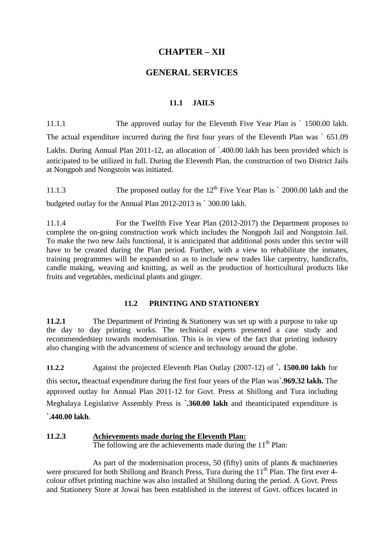# **CHAPTER – XII**

## **GENERAL SERVICES**

#### **11.1 JAILS**

11.1.1 The approved outlay for the Eleventh Five Year Plan is ` 1500.00 lakh. The actual expenditure incurred during the first four years of the Eleventh Plan was ` 651.09 Lakhs. During Annual Plan 2011-12, an allocation of `.400.00 lakh has been provided which is anticipated to be utilized in full. During the Eleventh Plan, the construction of two District Jails at Nongpoh and Nongstoin was initiated.

11.1.3 The proposed outlay for the  $12<sup>th</sup>$  Five Year Plan is  $\degree$  2000.00 lakh and the budgeted outlay for the Annual Plan 2012-2013 is ` 300.00 lakh.

11.1.4 For the Twelfth Five Year Plan (2012-2017) the Department proposes to complete the on-going construction work which includes the Nongpoh Jail and Nongstoin Jail. To make the two new Jails functional, it is anticipated that additional posts under this sector will have to be created during the Plan period. Further, with a view to rehabilitate the inmates, training programmes will be expanded so as to include new trades like carpentry, handicrafts, candle making, weaving and knitting, as well as the production of horticultural products like fruits and vegetables, medicinal plants and ginger.

#### **11.2 PRINTING AND STATIONERY**

**11.2.1** The Department of Printing & Stationery was set up with a purpose to take up the day to day printing works. The technical experts presented a case study and recommendedstep towards modernisation. This is in view of the fact that printing industry also changing with the advancement of science and technology around the globe.

**11.2.2** Against the projected Eleventh Plan Outlay (2007-12) of **`. 1500.00 lakh** for this sector**,** theactual expenditure during the first four years of the Plan was**`.969.32 lakh.** The approved outlay for Annual Plan 2011-12 for Govt. Press at Shillong and Tura including Meghalaya Legislative Assembly Press is **`.360.00 lakh** and theanticipated expenditure is

**`.440.00 lakh**.

## **11.2.3 Achievements made during the Eleventh Plan:**

The following are the achievements made during the  $11<sup>th</sup>$  Plan:

 As part of the modernisation process, 50 (fifty) units of plants & machineries were procured for both Shillong and Branch Press, Tura during the  $11<sup>th</sup>$  Plan. The first ever 4colour offset printing machine was also installed at Shillong during the period. A Govt. Press and Stationery Store at Jowai has been established in the interest of Govt. offices located in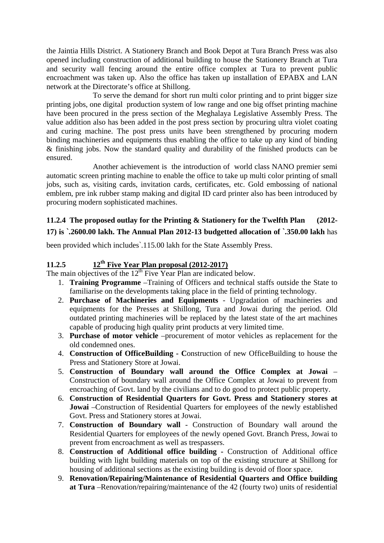the Jaintia Hills District. A Stationery Branch and Book Depot at Tura Branch Press was also opened including construction of additional building to house the Stationery Branch at Tura and security wall fencing around the entire office complex at Tura to prevent public encroachment was taken up. Also the office has taken up installation of EPABX and LAN network at the Directorate's office at Shillong.

 To serve the demand for short run multi color printing and to print bigger size printing jobs, one digital production system of low range and one big offset printing machine have been procured in the press section of the Meghalaya Legislative Assembly Press. The value addition also has been added in the post press section by procuring ultra violet coating and curing machine. The post press units have been strengthened by procuring modern binding machineries and equipments thus enabling the office to take up any kind of binding & finishing jobs. Now the standard quality and durability of the finished products can be ensured.

 Another achievement is the introduction of world class NANO premier semi automatic screen printing machine to enable the office to take up multi color printing of small jobs, such as, visiting cards, invitation cards, certificates, etc. Gold embossing of national emblem, pre ink rubber stamp making and digital ID card printer also has been introduced by procuring modern sophisticated machines.

## **11.2.4 The proposed outlay for the Printing & Stationery for the Twelfth Plan (2012- 17) is `.2600.00 lakh. The Annual Plan 2012-13 budgetted allocation of `.350.00 lakh** has

been provided which includes`.115.00 lakh for the State Assembly Press.

# **11.2.5 12th Five Year Plan proposal (2012-2017)**

The main objectives of the  $12<sup>th</sup>$  Five Year Plan are indicated below.

- 1. **Training Programme** –Training of Officers and technical staffs outside the State to familiarise on the developments taking place in the field of printing technology.
- 2. **Purchase of Machineries and Equipments** Upgradation of machineries and equipments for the Presses at Shillong, Tura and Jowai during the period. Old outdated printing machineries will be replaced by the latest state of the art machines capable of producing high quality print products at very limited time.
- 3. **Purchase of motor vehicle** –procurement of motor vehicles as replacement for the old condemned ones.
- 4. **Construction of OfficeBuilding C**onstruction of new OfficeBuilding to house the Press and Stationery Store at Jowai.
- 5. **Construction of Boundary wall around the Office Complex at Jowai** Construction of boundary wall around the Office Complex at Jowai to prevent from encroaching of Govt. land by the civilians and to do good to protect public property.
- 6. **Construction of Residential Quarters for Govt. Press and Stationery stores at Jowai** –Construction of Residential Quarters for employees of the newly established Govt. Press and Stationery stores at Jowai.
- 7. **Construction of Boundary wall**  Construction of Boundary wall around the Residential Quarters for employees of the newly opened Govt. Branch Press, Jowai to prevent from encroachment as well as trespassers.
- 8. **Construction of Additional office building -** Construction of Additional office building with light building materials on top of the existing structure at Shillong for housing of additional sections as the existing building is devoid of floor space.
- 9. **Renovation/Repairing/Maintenance of Residential Quarters and Office building at Tura** –Renovation/repairing/maintenance of the 42 (fourty two) units of residential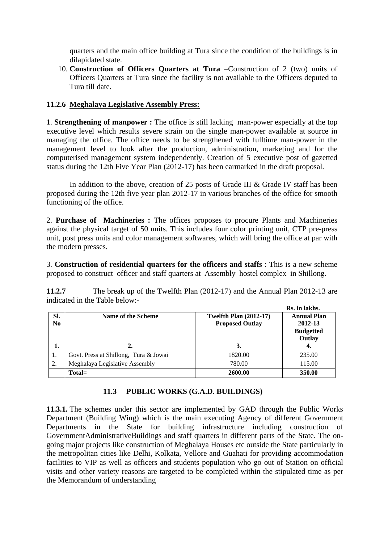quarters and the main office building at Tura since the condition of the buildings is in dilapidated state.

10. **Construction of Officers Quarters at Tura** –Construction of 2 (two) units of Officers Quarters at Tura since the facility is not available to the Officers deputed to Tura till date.

#### **11.2.6 Meghalaya Legislative Assembly Press:**

1. **Strengthening of manpower :** The office is still lacking man-power especially at the top executive level which results severe strain on the single man-power available at source in managing the office. The office needs to be strengthened with fulltime man-power in the management level to look after the production, administration, marketing and for the computerised management system independently. Creation of 5 executive post of gazetted status during the 12th Five Year Plan (2012-17) has been earmarked in the draft proposal.

In addition to the above, creation of 25 posts of Grade III & Grade IV staff has been proposed during the 12th five year plan 2012-17 in various branches of the office for smooth functioning of the office.

2. **Purchase of Machineries :** The offices proposes to procure Plants and Machineries against the physical target of 50 units. This includes four color printing unit, CTP pre-press unit, post press units and color management softwares, which will bring the office at par with the modern presses.

3. **Construction of residential quarters for the officers and staffs** : This is a new scheme proposed to construct officer and staff quarters at Assembly hostel complex in Shillong.

**11.2.7** The break up of the Twelfth Plan (2012-17) and the Annual Plan 2012-13 are indicated in the Table below:- **Rs. in lakhs.**

|     |                                       |                               | AS. III IARIIS.    |  |
|-----|---------------------------------------|-------------------------------|--------------------|--|
| SI. | <b>Name of the Scheme</b>             | <b>Twelfth Plan (2012-17)</b> | <b>Annual Plan</b> |  |
| No  |                                       | <b>Proposed Outlay</b>        | 2012-13            |  |
|     |                                       |                               | <b>Budgetted</b>   |  |
|     |                                       |                               | Outlay             |  |
| 1.  |                                       | 3.                            | 4.                 |  |
| -1. | Govt. Press at Shillong, Tura & Jowai | 1820.00                       | 235.00             |  |
| 2.  | Meghalaya Legislative Assembly        | 780.00                        | 115.00             |  |
|     | Total=                                | 2600.00                       | 350.00             |  |

#### **11.3 PUBLIC WORKS (G.A.D. BUILDINGS)**

**11.3.1.** The schemes under this sector are implemented by GAD through the Public Works Department (Building Wing) which is the main executing Agency of different Government Departments in the State for building infrastructure including construction of GovernmentAdministrativeBuildings and staff quarters in different parts of the State. The ongoing major projects like construction of Meghalaya Houses etc outside the State particularly in the metropolitan cities like Delhi, Kolkata, Vellore and Guahati for providing accommodation facilities to VIP as well as officers and students population who go out of Station on official visits and other variety reasons are targeted to be completed within the stipulated time as per the Memorandum of understanding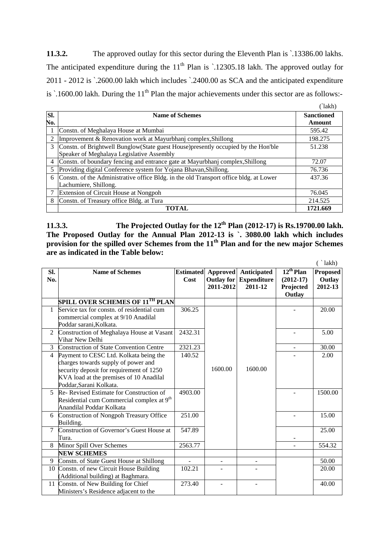**11.3.2.** The approved outlay for this sector during the Eleventh Plan is `.13386.00 lakhs. The anticipated expenditure during the  $11<sup>th</sup>$  Plan is  $\cdot$  12305.18 lakh. The approved outlay for 2011 - 2012 is `.2600.00 lakh which includes `.2400.00 as SCA and the anticipated expenditure is  $\cdot$ .1600.00 lakh. During the 11<sup>th</sup> Plan the major achievements under this sector are as follows:- $(21.11)$ 

| SI. | <b>Name of Schemes</b>                                                                | <b>Sanctioned</b> |  |  |  |  |
|-----|---------------------------------------------------------------------------------------|-------------------|--|--|--|--|
| No. |                                                                                       | Amount            |  |  |  |  |
|     | Constn. of Meghalaya House at Mumbai                                                  | 595.42            |  |  |  |  |
|     | Improvement & Renovation work at Mayurbhanj complex, Shillong                         | 198.275           |  |  |  |  |
| 3   | Constn. of Brightwell Bunglow (State guest House) presently occupied by the Hon'ble   | 51.238            |  |  |  |  |
|     | Speaker of Meghalaya Legislative Assembly                                             |                   |  |  |  |  |
| 4   | Constn. of boundary fencing and entrance gate at Mayurbhanj complex, Shillong         | 72.07             |  |  |  |  |
| 5   | Providing digital Conference system for Yojana Bhavan, Shillong.                      | 76.736            |  |  |  |  |
| 6   | Constn. of the Administrative office Bldg. in the old Transport office bldg. at Lower | 437.36            |  |  |  |  |
|     | Lachumiere, Shillong.                                                                 |                   |  |  |  |  |
|     | Extension of Circuit House at Nongpoh                                                 | 76.045            |  |  |  |  |
| 8   | Constn. of Treasury office Bldg. at Tura                                              | 214.525           |  |  |  |  |
|     | TOTAL                                                                                 | 1721.669          |  |  |  |  |

**11.3.3.** The Projected Outlay for the 12<sup>th</sup> Plan (2012-17) is Rs.19700.00 lakh. **The Proposed Outlay for the Annual Plan 2012-13 is `. 3080.00 lakh which includes**  provision for the spilled over Schemes from the 11<sup>th</sup> Plan and for the new major Schemes **are as indicated in the Table below:** 

|                          |                                                                                                                                                                                                 |                          |                                            |                                              |                                                      | lakh)                                |
|--------------------------|-------------------------------------------------------------------------------------------------------------------------------------------------------------------------------------------------|--------------------------|--------------------------------------------|----------------------------------------------|------------------------------------------------------|--------------------------------------|
| SI.<br>No.               | <b>Name of Schemes</b>                                                                                                                                                                          | <b>Estimated</b><br>Cost | Approved<br><b>Outlay for</b><br>2011-2012 | Anticipated<br><b>Expenditure</b><br>2011-12 | $12^{th}$ Plan<br>$(2012-17)$<br>Projected<br>Outlay | <b>Proposed</b><br>Outlay<br>2012-13 |
|                          | <b>SPILL OVER SCHEMES OF 11TH PLAN</b>                                                                                                                                                          |                          |                                            |                                              |                                                      |                                      |
| $\mathbf{1}$             | Service tax for constn. of residential cum<br>commercial complex at 9/10 Anadilal<br>Poddar sarani, Kolkata.                                                                                    | 306.25                   |                                            |                                              |                                                      | 20.00                                |
| $\overline{2}$           | Construction of Meghalaya House at Vasant<br>Vihar New Delhi                                                                                                                                    | 2432.31                  |                                            |                                              |                                                      | 5.00                                 |
| 3                        | <b>Construction of State Convention Centre</b>                                                                                                                                                  | 2321.23                  |                                            |                                              |                                                      | 30.00                                |
| 4                        | Payment to CESC Ltd. Kolkata being the<br>charges towards supply of power and<br>security deposit for requirement of 1250<br>KVA load at the premises of 10 Anadilal<br>Poddar, Sarani Kolkata. | 140.52                   | 1600.00                                    | 1600.00                                      |                                                      | 2.00                                 |
| $\overline{\mathcal{L}}$ | Re- Revised Estimate for Construction of<br>Residential cum Commercial complex at 9 <sup>th</sup><br>Anandilal Poddar Kolkata                                                                   | 4903.00                  |                                            |                                              |                                                      | 1500.00                              |
| 6                        | Construction of Nongpoh Treasury Office<br>Building.                                                                                                                                            | 251.00                   |                                            |                                              |                                                      | 15.00                                |
| $\overline{7}$           | Construction of Governor's Guest House at<br>Tura.                                                                                                                                              | 547.89                   |                                            |                                              |                                                      | 25.00                                |
| 8                        | Minor Spill Over Schemes                                                                                                                                                                        | 2563.77                  |                                            |                                              |                                                      | 554.32                               |
|                          | <b>NEW SCHEMES</b>                                                                                                                                                                              |                          |                                            |                                              |                                                      |                                      |
| 9                        | Constn. of State Guest House at Shillong                                                                                                                                                        |                          |                                            |                                              |                                                      | 50.00                                |
|                          | 10 Constn. of new Circuit House Building<br>(Additional building) at Baghmara.                                                                                                                  | 102.21                   |                                            |                                              |                                                      | 20.00                                |
|                          | 11 Constn. of New Building for Chief<br>Ministers's Residence adjacent to the                                                                                                                   | 273.40                   |                                            |                                              |                                                      | 40.00                                |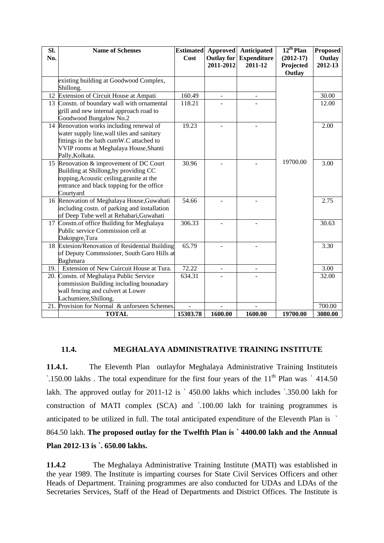| SI. | <b>Name of Schemes</b>                                                           | <b>Estimated</b> | <b>Approved</b>          | <b>Anticipated</b> | $12^{th}$ Plan | <b>Proposed</b> |
|-----|----------------------------------------------------------------------------------|------------------|--------------------------|--------------------|----------------|-----------------|
| No. |                                                                                  | Cost             | <b>Outlay for</b>        | <b>Expenditure</b> | $(2012-17)$    | Outlay          |
|     |                                                                                  |                  | 2011-2012                | 2011-12            | Projected      | 2012-13         |
|     |                                                                                  |                  |                          |                    | Outlay         |                 |
|     | existing building at Goodwood Complex,                                           |                  |                          |                    |                |                 |
|     | Shillong.                                                                        |                  |                          |                    |                |                 |
|     | 12 Extension of Circuit House at Ampati                                          | 160.49           |                          |                    |                | 30.00           |
|     | 13 Constn. of boundary wall with ornamental                                      | 118.21           |                          |                    |                | 12.00           |
|     | grill and new internal approach road to                                          |                  |                          |                    |                |                 |
|     | Goodwood Bungalow No.2                                                           |                  |                          |                    |                |                 |
|     | 14 Renovation works including renewal of                                         | 19.23            |                          |                    |                | 2.00            |
|     | water supply line, wall tiles and sanitary                                       |                  |                          |                    |                |                 |
|     | fittings in the bath cumW.C attached to                                          |                  |                          |                    |                |                 |
|     | VVIP rooms at Meghalaya House, Shanti                                            |                  |                          |                    |                |                 |
|     | Pally, Kolkata.                                                                  |                  |                          |                    | 19700.00       |                 |
|     | 15 Renovation & improvement of DC Court<br>Building at Shillong, by providing CC | 30.96            |                          |                    |                | 3.00            |
|     | topping, Acoustic ceiling, granite at the                                        |                  |                          |                    |                |                 |
|     | entrance and black topping for the office                                        |                  |                          |                    |                |                 |
|     | Courtyard                                                                        |                  |                          |                    |                |                 |
|     | 16 Renovation of Meghalaya House, Guwahati                                       | 54.66            |                          |                    |                | 2.75            |
|     | including costn. of parking and installation                                     |                  |                          |                    |                |                 |
|     | of Deep Tube well at Rehabari, Guwahati                                          |                  |                          |                    |                |                 |
|     | 17 Constn.of office Building for Meghalaya                                       | 306.33           |                          |                    |                | 30.63           |
|     | Public service Commission cell at                                                |                  |                          |                    |                |                 |
|     | Dakopgre, Tura                                                                   |                  |                          |                    |                |                 |
|     | 18 Extesion/Renovation of Residential Building                                   | 65.79            |                          |                    |                | 3.30            |
|     | of Deputy Commssioner, South Garo Hills at                                       |                  |                          |                    |                |                 |
|     | Baghmara                                                                         |                  |                          |                    |                |                 |
|     | 19. Extension of New Cuircuit House at Tura.                                     | 72.22            | $\overline{\phantom{a}}$ |                    |                | 3.00            |
|     | 20. Constn. of Meghalaya Public Service                                          | 634.31           |                          |                    |                | 32.00           |
|     | commission Building including bounadary                                          |                  |                          |                    |                |                 |
|     | wall fencing and culvert at Lower                                                |                  |                          |                    |                |                 |
|     | Lachumiere, Shillong.                                                            |                  |                          |                    |                |                 |
| 21. | Provision for Normal & unforseen Schemes.                                        |                  |                          |                    |                | 700.00          |
|     | <b>TOTAL</b>                                                                     | 15303.78         | 1600.00                  | 1600.00            | 19700.00       | 3080.00         |

#### **11.4. MEGHALAYA ADMINISTRATIVE TRAINING INSTITUTE**

**11.4.1.** The Eleventh Plan outlayfor Meghalaya Administrative Training Instituteis `.150.00 lakhs . The total expenditure for the first four years of the  $11<sup>th</sup>$  Plan was ` 414.50 lakh. The approved outlay for 2011-12 is `450.00 lakhs which includes `.350.00 lakh for construction of MATI complex (SCA) and `.100.00 lakh for training programmes is anticipated to be utilized in full. The total anticipated expenditure of the Eleventh Plan is ` 864.50 lakh. **The proposed outlay for the Twelfth Plan is ` 4400.00 lakh and the Annual Plan 2012-13 is `. 650.00 lakhs.** 

**11.4.2** The Meghalaya Administrative Training Institute (MATI) was established in the year 1989. The Institute is imparting courses for State Civil Services Officers and other Heads of Department. Training programmes are also conducted for UDAs and LDAs of the Secretaries Services, Staff of the Head of Departments and District Offices. The Institute is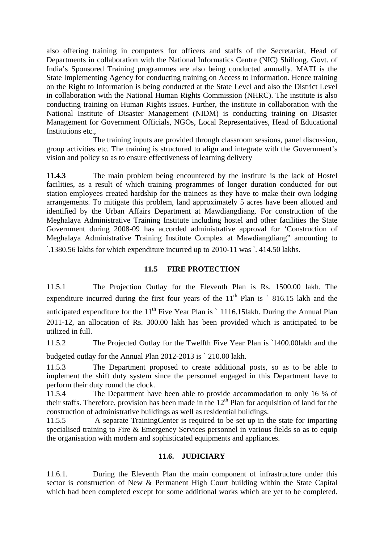also offering training in computers for officers and staffs of the Secretariat, Head of Departments in collaboration with the National Informatics Centre (NIC) Shillong. Govt. of India's Sponsored Training programmes are also being conducted annually. MATI is the State Implementing Agency for conducting training on Access to Information. Hence training on the Right to Information is being conducted at the State Level and also the District Level in collaboration with the National Human Rights Commission (NHRC). The institute is also conducting training on Human Rights issues. Further, the institute in collaboration with the National Institute of Disaster Management (NIDM) is conducting training on Disaster Management for Government Officials, NGOs, Local Representatives, Head of Educational Institutions etc.,

 The training inputs are provided through classroom sessions, panel discussion, group activities etc. The training is structured to align and integrate with the Government's vision and policy so as to ensure effectiveness of learning delivery

**11.4.3** The main problem being encountered by the institute is the lack of Hostel facilities, as a result of which training programmes of longer duration conducted for out station employees created hardship for the trainees as they have to make their own lodging arrangements. To mitigate this problem, land approximately 5 acres have been allotted and identified by the Urban Affairs Department at Mawdiangdiang. For construction of the Meghalaya Administrative Training Institute including hostel and other facilities the State Government during 2008-09 has accorded administrative approval for 'Construction of Meghalaya Administrative Training Institute Complex at Mawdiangdiang" amounting to `.1380.56 lakhs for which expenditure incurred up to 2010-11 was `. 414.50 lakhs.

#### **11.5 FIRE PROTECTION**

11.5.1 The Projection Outlay for the Eleventh Plan is Rs. 1500.00 lakh. The expenditure incurred during the first four years of the  $11<sup>th</sup>$  Plan is  $\degree$  816.15 lakh and the anticipated expenditure for the  $11<sup>th</sup>$  Five Year Plan is  $\degree$  1116.15lakh. During the Annual Plan 2011-12, an allocation of Rs. 300.00 lakh has been provided which is anticipated to be utilized in full.

11.5.2 The Projected Outlay for the Twelfth Five Year Plan is `1400.00lakh and the

budgeted outlay for the Annual Plan 2012-2013 is ` 210.00 lakh.

11.5.3 The Department proposed to create additional posts, so as to be able to implement the shift duty system since the personnel engaged in this Department have to perform their duty round the clock.

11.5.4 The Department have been able to provide accommodation to only 16 % of their staffs. Therefore, provision has been made in the  $12<sup>th</sup>$  Plan for acquisition of land for the construction of administrative buildings as well as residential buildings.

11.5.5 A separate TrainingCenter is required to be set up in the state for imparting specialised training to Fire & Emergency Services personnel in various fields so as to equip the organisation with modern and sophisticated equipments and appliances.

#### **11.6. JUDICIARY**

11.6.1. During the Eleventh Plan the main component of infrastructure under this sector is construction of New & Permanent High Court building within the State Capital which had been completed except for some additional works which are yet to be completed.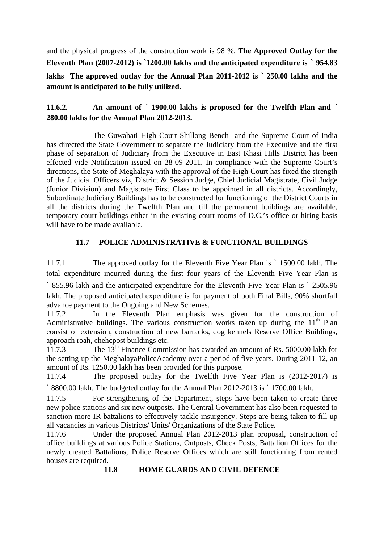and the physical progress of the construction work is 98 %. **The Approved Outlay for the Eleventh Plan (2007-2012) is `1200.00 lakhs and the anticipated expenditure is ` 954.83 lakhs The approved outlay for the Annual Plan 2011-2012 is ` 250.00 lakhs and the amount is anticipated to be fully utilized.**

# **11.6.2. An amount of ` 1900.00 lakhs is proposed for the Twelfth Plan and ` 280.00 lakhs for the Annual Plan 2012-2013.**

The Guwahati High Court Shillong Bench and the Supreme Court of India has directed the State Government to separate the Judiciary from the Executive and the first phase of separation of Judiciary from the Executive in East Khasi Hills District has been effected vide Notification issued on 28-09-2011. In compliance with the Supreme Court's directions, the State of Meghalaya with the approval of the High Court has fixed the strength of the Judicial Officers viz, District & Session Judge, Chief Judicial Magistrate, Civil Judge (Junior Division) and Magistrate First Class to be appointed in all districts. Accordingly, Subordinate Judiciary Buildings has to be constructed for functioning of the District Courts in all the districts during the Twelfth Plan and till the permanent buildings are available, temporary court buildings either in the existing court rooms of D.C.'s office or hiring basis will have to be made available.

# **11.7 POLICE ADMINISTRATIVE & FUNCTIONAL BUILDINGS**

11.7.1 The approved outlay for the Eleventh Five Year Plan is ` 1500.00 lakh. The total expenditure incurred during the first four years of the Eleventh Five Year Plan is ` 855.96 lakh and the anticipated expenditure for the Eleventh Five Year Plan is ` 2505.96 lakh. The proposed anticipated expenditure is for payment of both Final Bills, 90% shortfall advance payment to the Ongoing and New Schemes.

11.7.2 In the Eleventh Plan emphasis was given for the construction of Administrative buildings. The various construction works taken up during the  $11<sup>th</sup>$  Plan consist of extension, construction of new barracks, dog kennels Reserve Office Buildings, approach roah, chehcpost buildings etc.

11.7.3 The 13<sup>th</sup> Finance Commission has awarded an amount of Rs. 5000.00 lakh for the setting up the MeghalayaPoliceAcademy over a period of five years. During 2011-12, an amount of Rs. 1250.00 lakh has been provided for this purpose.

11.7.4 The proposed outlay for the Twelfth Five Year Plan is (2012-2017) is ` 8800.00 lakh. The budgeted outlay for the Annual Plan 2012-2013 is ` 1700.00 lakh.

11.7.5 For strengthening of the Department, steps have been taken to create three new police stations and six new outposts. The Central Government has also been requested to sanction more IR battalions to effectively tackle insurgency. Steps are being taken to fill up all vacancies in various Districts/ Units/ Organizations of the State Police.

11.7.6 Under the proposed Annual Plan 2012-2013 plan proposal, construction of office buildings at various Police Stations, Outposts, Check Posts, Battalion Offices for the newly created Battalions, Police Reserve Offices which are still functioning from rented houses are required.

**11.8 HOME GUARDS AND CIVIL DEFENCE**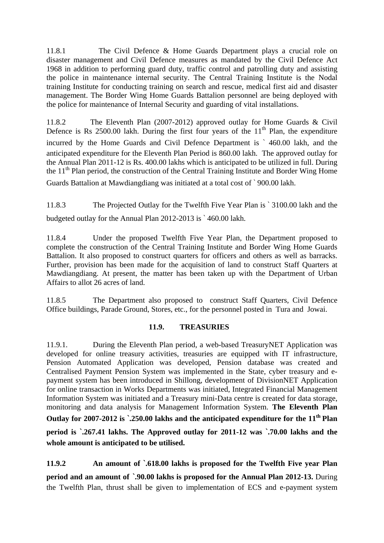11.8.1 The Civil Defence & Home Guards Department plays a crucial role on disaster management and Civil Defence measures as mandated by the Civil Defence Act 1968 in addition to performing guard duty, traffic control and patrolling duty and assisting the police in maintenance internal security. The Central Training Institute is the Nodal training Institute for conducting training on search and rescue, medical first aid and disaster management. The Border Wing Home Guards Battalion personnel are being deployed with the police for maintenance of Internal Security and guarding of vital installations.

11.8.2 The Eleventh Plan (2007-2012) approved outlay for Home Guards & Civil Defence is Rs  $2500.00$  lakh. During the first four years of the  $11<sup>th</sup>$  Plan, the expenditure incurred by the Home Guards and Civil Defence Department is ` 460.00 lakh, and the anticipated expenditure for the Eleventh Plan Period is 860.00 lakh. The approved outlay for the Annual Plan 2011-12 is Rs. 400.00 lakhs which is anticipated to be utilized in full. During the  $11<sup>th</sup>$  Plan period, the construction of the Central Training Institute and Border Wing Home Guards Battalion at Mawdiangdiang was initiated at a total cost of ` 900.00 lakh.

11.8.3 The Projected Outlay for the Twelfth Five Year Plan is ` 3100.00 lakh and the budgeted outlay for the Annual Plan 2012-2013 is ` 460.00 lakh.

11.8.4 Under the proposed Twelfth Five Year Plan, the Department proposed to complete the construction of the Central Training Institute and Border Wing Home Guards Battalion. It also proposed to construct quarters for officers and others as well as barracks. Further, provision has been made for the acquisition of land to construct Staff Quarters at Mawdiangdiang. At present, the matter has been taken up with the Department of Urban Affairs to allot 26 acres of land.

11.8.5 The Department also proposed to construct Staff Quarters, Civil Defence Office buildings, Parade Ground, Stores, etc., for the personnel posted in Tura and Jowai.

#### **11.9. TREASURIES**

11.9.1. During the Eleventh Plan period, a web-based TreasuryNET Application was developed for online treasury activities, treasuries are equipped with IT infrastructure, Pension Automated Application was developed, Pension database was created and Centralised Payment Pension System was implemented in the State, cyber treasury and epayment system has been introduced in Shillong, development of DivisionNET Application for online transaction in Works Departments was initiated, Integrated Financial Management Information System was initiated and a Treasury mini-Data centre is created for data storage, monitoring and data analysis for Management Information System. **The Eleventh Plan**  Outlay for 2007-2012 is `.250.00 lakhs and the anticipated expenditure for the 11<sup>th</sup> Plan **period is `.267.41 lakhs. The Approved outlay for 2011-12 was `.70.00 lakhs and the whole amount is anticipated to be utilised.** 

**11.9.2 An amount of `.618.00 lakhs is proposed for the Twelfth Five year Plan period and an amount of `.90.00 lakhs is proposed for the Annual Plan 2012-13.** During the Twelfth Plan, thrust shall be given to implementation of ECS and e-payment system